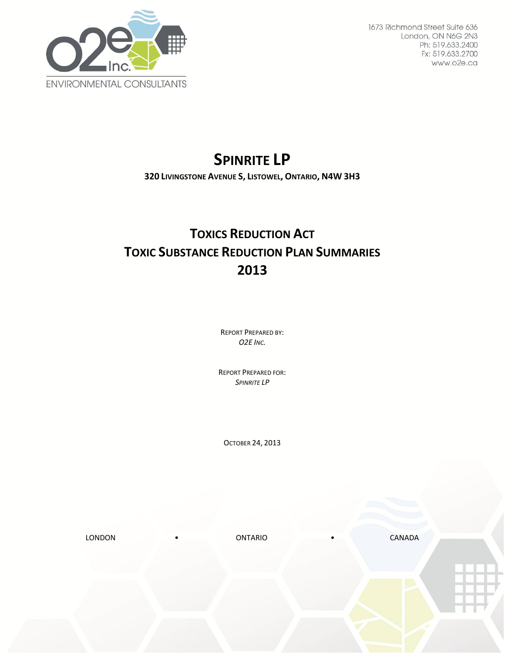

1673 Richmond Street Suite 636 London, ON N6G 2N3 Ph: 519.633.2400 Fx: 519.633.2700 www.o2e.ca

# **SPINRITE LP**

**320 LIVINGSTONE AVENUE S, LISTOWEL, ONTARIO, N4W 3H3**

## **TOXICS REDUCTION ACT TOXIC SUBSTANCE REDUCTION PLAN SUMMARIES 2013**

REPORT PREPARED BY: *O2E INC.*

REPORT PREPARED FOR: *SPINRITE LP*

OCTOBER 24, 2013

LONDON • ONTARIO • CANADA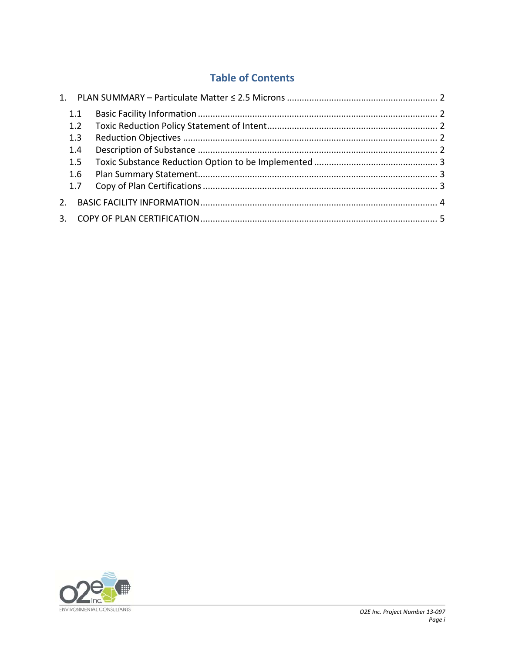### **Table of Contents**

| 1.1            |  |
|----------------|--|
| 1.2            |  |
| 1.3            |  |
| 1.4            |  |
| 1.5            |  |
| 1.6            |  |
| 1.7            |  |
| 2 <sup>1</sup> |  |
|                |  |

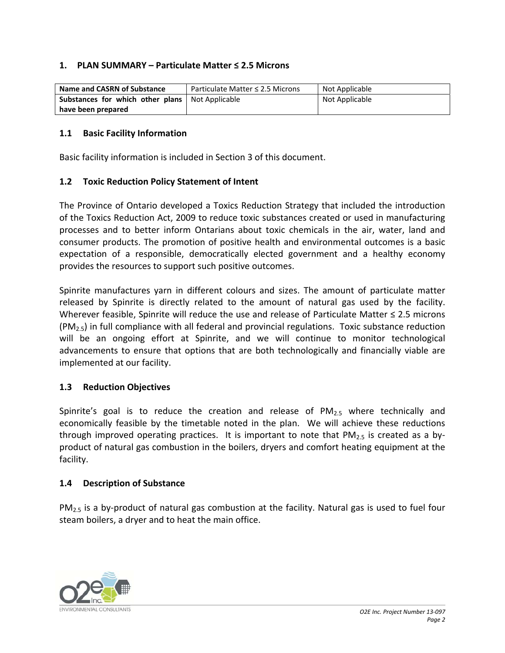#### **1. PLAN SUMMARY – Particulate Matter ≤ 2.5 Microns**

| Name and CASRN of Substance                              | Particulate Matter $\leq$ 2.5 Microns | Not Applicable |
|----------------------------------------------------------|---------------------------------------|----------------|
| <b>Substances for which other plans</b>   Not Applicable |                                       | Not Applicable |
| have been prepared                                       |                                       |                |

#### **1.1 Basic Facility Information**

Basic facility information is included in Section 3 of this document.

#### **1.2 Toxic Reduction Policy Statement of Intent**

The Province of Ontario developed a Toxics Reduction Strategy that included the introduction of the Toxics Reduction Act, 2009 to reduce toxic substances created or used in manufacturing processes and to better inform Ontarians about toxic chemicals in the air, water, land and consumer products. The promotion of positive health and environmental outcomes is a basic expectation of a responsible, democratically elected government and a healthy economy provides the resources to support such positive outcomes.

Spinrite manufactures yarn in different colours and sizes. The amount of particulate matter released by Spinrite is directly related to the amount of natural gas used by the facility. Wherever feasible, Spinrite will reduce the use and release of Particulate Matter ≤ 2.5 microns  $(PM<sub>2.5</sub>)$  in full compliance with all federal and provincial regulations. Toxic substance reduction will be an ongoing effort at Spinrite, and we will continue to monitor technological advancements to ensure that options that are both technologically and financially viable are implemented at our facility.

#### **1.3 Reduction Objectives**

Spinrite's goal is to reduce the creation and release of  $PM<sub>2.5</sub>$  where technically and economically feasible by the timetable noted in the plan. We will achieve these reductions through improved operating practices. It is important to note that  $PM_{2.5}$  is created as a byproduct of natural gas combustion in the boilers, dryers and comfort heating equipment at the facility.

#### **1.4 Description of Substance**

PM<sub>2.5</sub> is a by-product of natural gas combustion at the facility. Natural gas is used to fuel four steam boilers, a dryer and to heat the main office.

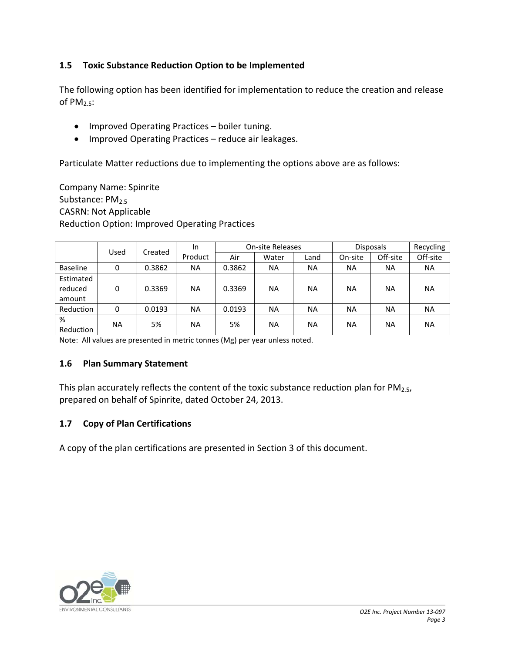#### **1.5 Toxic Substance Reduction Option to be Implemented**

The following option has been identified for implementation to reduce the creation and release of  $PM_{2.5}$ :

- Improved Operating Practices boiler tuning.
- Improved Operating Practices reduce air leakages.

Particulate Matter reductions due to implementing the options above are as follows:

Company Name: Spinrite Substance: PM<sub>2.5</sub> CASRN: Not Applicable Reduction Option: Improved Operating Practices

|                 |           |         | In        | <b>On-site Releases</b> |           | <b>Disposals</b> |           | Recycling |           |
|-----------------|-----------|---------|-----------|-------------------------|-----------|------------------|-----------|-----------|-----------|
|                 | Used      | Created | Product   | Air                     | Water     | Land             | On-site   | Off-site  | Off-site  |
| <b>Baseline</b> | 0         | 0.3862  | <b>NA</b> | 0.3862                  | <b>NA</b> | <b>NA</b>        | ΝA        | <b>NA</b> | <b>NA</b> |
| Estimated       |           |         |           |                         |           |                  |           |           |           |
| reduced         | 0         | 0.3369  | <b>NA</b> | 0.3369                  | <b>NA</b> | <b>NA</b>        | ΝA        | NA.       | <b>NA</b> |
| amount          |           |         |           |                         |           |                  |           |           |           |
| Reduction       | 0         | 0.0193  | <b>NA</b> | 0.0193                  | <b>NA</b> | <b>NA</b>        | <b>NA</b> | <b>NA</b> | <b>NA</b> |
| %<br>Reduction  | <b>NA</b> | 5%      | <b>NA</b> | 5%                      | <b>NA</b> | <b>NA</b>        | ΝA        | <b>NA</b> | <b>NA</b> |

Note: All values are presented in metric tonnes (Mg) per year unless noted.

#### **1.6 Plan Summary Statement**

This plan accurately reflects the content of the toxic substance reduction plan for  $PM_{2.5}$ , prepared on behalf of Spinrite, dated October 24, 2013.

#### **1.7 Copy of Plan Certifications**

A copy of the plan certifications are presented in Section 3 of this document.

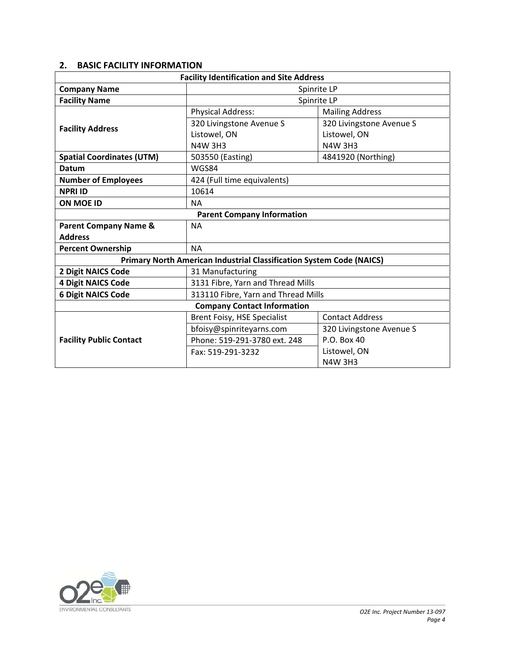#### **2. BASIC FACILITY INFORMATION**

| <b>Facility Identification and Site Address</b> |                                                                      |                          |  |  |  |  |
|-------------------------------------------------|----------------------------------------------------------------------|--------------------------|--|--|--|--|
| <b>Company Name</b>                             | Spinrite LP                                                          |                          |  |  |  |  |
| <b>Facility Name</b>                            | Spinrite LP                                                          |                          |  |  |  |  |
|                                                 | <b>Physical Address:</b>                                             | <b>Mailing Address</b>   |  |  |  |  |
| <b>Facility Address</b>                         | 320 Livingstone Avenue S                                             | 320 Livingstone Avenue S |  |  |  |  |
|                                                 | Listowel, ON                                                         | Listowel, ON             |  |  |  |  |
|                                                 | <b>N4W 3H3</b>                                                       | <b>N4W 3H3</b>           |  |  |  |  |
| <b>Spatial Coordinates (UTM)</b>                | 503550 (Easting)                                                     | 4841920 (Northing)       |  |  |  |  |
| Datum                                           | WGS84                                                                |                          |  |  |  |  |
| <b>Number of Employees</b>                      | 424 (Full time equivalents)                                          |                          |  |  |  |  |
| <b>NPRI ID</b>                                  | 10614                                                                |                          |  |  |  |  |
| <b>ON MOE ID</b>                                | <b>NA</b>                                                            |                          |  |  |  |  |
| <b>Parent Company Information</b>               |                                                                      |                          |  |  |  |  |
| <b>Parent Company Name &amp;</b>                | <b>NA</b>                                                            |                          |  |  |  |  |
| <b>Address</b>                                  |                                                                      |                          |  |  |  |  |
| <b>Percent Ownership</b>                        | <b>NA</b>                                                            |                          |  |  |  |  |
|                                                 | Primary North American Industrial Classification System Code (NAICS) |                          |  |  |  |  |
| 31 Manufacturing<br>2 Digit NAICS Code          |                                                                      |                          |  |  |  |  |
| <b>4 Digit NAICS Code</b>                       | 3131 Fibre, Yarn and Thread Mills                                    |                          |  |  |  |  |
| <b>6 Digit NAICS Code</b>                       | 313110 Fibre, Yarn and Thread Mills                                  |                          |  |  |  |  |
| <b>Company Contact Information</b>              |                                                                      |                          |  |  |  |  |
|                                                 | Brent Foisy, HSE Specialist                                          | <b>Contact Address</b>   |  |  |  |  |
|                                                 | bfoisy@spinriteyarns.com                                             | 320 Livingstone Avenue S |  |  |  |  |
| <b>Facility Public Contact</b>                  | Phone: 519-291-3780 ext. 248                                         | P.O. Box 40              |  |  |  |  |
|                                                 | Fax: 519-291-3232                                                    | Listowel, ON             |  |  |  |  |
|                                                 |                                                                      | <b>N4W 3H3</b>           |  |  |  |  |